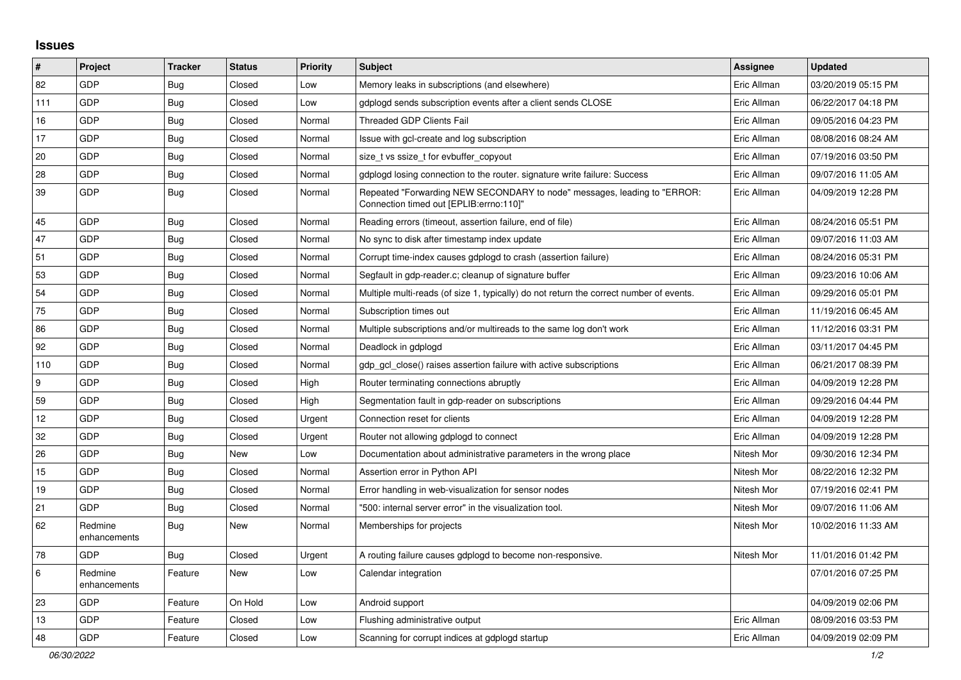## **Issues**

| $\pmb{\sharp}$ | <b>Project</b>          | <b>Tracker</b> | <b>Status</b> | <b>Priority</b> | <b>Subject</b>                                                                                                      | Assignee    | <b>Updated</b>      |
|----------------|-------------------------|----------------|---------------|-----------------|---------------------------------------------------------------------------------------------------------------------|-------------|---------------------|
| 82             | <b>GDP</b>              | <b>Bug</b>     | Closed        | Low             | Memory leaks in subscriptions (and elsewhere)                                                                       | Eric Allman | 03/20/2019 05:15 PM |
| 111            | <b>GDP</b>              | Bug            | Closed        | Low             | gdplogd sends subscription events after a client sends CLOSE                                                        | Eric Allman | 06/22/2017 04:18 PM |
| 16             | <b>GDP</b>              | <b>Bug</b>     | Closed        | Normal          | Threaded GDP Clients Fail                                                                                           | Eric Allman | 09/05/2016 04:23 PM |
| 17             | <b>GDP</b>              | Bug            | Closed        | Normal          | Issue with gcl-create and log subscription                                                                          | Eric Allman | 08/08/2016 08:24 AM |
| 20             | <b>GDP</b>              | Bug            | Closed        | Normal          | size t vs ssize t for evbuffer copyout                                                                              | Eric Allman | 07/19/2016 03:50 PM |
| 28             | GDP                     | <b>Bug</b>     | Closed        | Normal          | gdplogd losing connection to the router, signature write failure: Success                                           | Eric Allman | 09/07/2016 11:05 AM |
| 39             | <b>GDP</b>              | <b>Bug</b>     | Closed        | Normal          | Repeated "Forwarding NEW SECONDARY to node" messages, leading to "ERROR:<br>Connection timed out [EPLIB:errno:110]" | Eric Allman | 04/09/2019 12:28 PM |
| 45             | <b>GDP</b>              | <b>Bug</b>     | Closed        | Normal          | Reading errors (timeout, assertion failure, end of file)                                                            | Eric Allman | 08/24/2016 05:51 PM |
| 47             | <b>GDP</b>              | <b>Bug</b>     | Closed        | Normal          | No sync to disk after timestamp index update                                                                        | Eric Allman | 09/07/2016 11:03 AM |
| 51             | GDP                     | <b>Bug</b>     | Closed        | Normal          | Corrupt time-index causes gdplogd to crash (assertion failure)                                                      | Eric Allman | 08/24/2016 05:31 PM |
| 53             | <b>GDP</b>              | <b>Bug</b>     | Closed        | Normal          | Segfault in gdp-reader.c; cleanup of signature buffer                                                               | Eric Allman | 09/23/2016 10:06 AM |
| 54             | GDP                     | Bug            | Closed        | Normal          | Multiple multi-reads (of size 1, typically) do not return the correct number of events.                             | Eric Allman | 09/29/2016 05:01 PM |
| 75             | <b>GDP</b>              | <b>Bug</b>     | Closed        | Normal          | Subscription times out                                                                                              | Eric Allman | 11/19/2016 06:45 AM |
| 86             | GDP                     | <b>Bug</b>     | Closed        | Normal          | Multiple subscriptions and/or multireads to the same log don't work                                                 | Eric Allman | 11/12/2016 03:31 PM |
| 92             | <b>GDP</b>              | <b>Bug</b>     | Closed        | Normal          | Deadlock in gdplogd                                                                                                 | Eric Allman | 03/11/2017 04:45 PM |
| 110            | GDP                     | <b>Bug</b>     | Closed        | Normal          | gdp gcl close() raises assertion failure with active subscriptions                                                  | Eric Allman | 06/21/2017 08:39 PM |
| 9              | <b>GDP</b>              | Bug            | Closed        | High            | Router terminating connections abruptly                                                                             | Eric Allman | 04/09/2019 12:28 PM |
| 59             | GDP                     | Bug            | Closed        | High            | Segmentation fault in gdp-reader on subscriptions                                                                   | Eric Allman | 09/29/2016 04:44 PM |
| 12             | GDP                     | Bug            | Closed        | Urgent          | Connection reset for clients                                                                                        | Eric Allman | 04/09/2019 12:28 PM |
| 32             | <b>GDP</b>              | <b>Bug</b>     | Closed        | Urgent          | Router not allowing gdplogd to connect                                                                              | Eric Allman | 04/09/2019 12:28 PM |
| 26             | <b>GDP</b>              | <b>Bug</b>     | New           | Low             | Documentation about administrative parameters in the wrong place                                                    | Nitesh Mor  | 09/30/2016 12:34 PM |
| 15             | <b>GDP</b>              | <b>Bug</b>     | Closed        | Normal          | Assertion error in Python API                                                                                       | Nitesh Mor  | 08/22/2016 12:32 PM |
| 19             | <b>GDP</b>              | Bug            | Closed        | Normal          | Error handling in web-visualization for sensor nodes                                                                | Nitesh Mor  | 07/19/2016 02:41 PM |
| 21             | <b>GDP</b>              | <b>Bug</b>     | Closed        | Normal          | "500: internal server error" in the visualization tool.                                                             | Nitesh Mor  | 09/07/2016 11:06 AM |
| 62             | Redmine<br>enhancements | Bug            | New           | Normal          | Memberships for projects                                                                                            | Nitesh Mor  | 10/02/2016 11:33 AM |
| 78             | GDP                     | <b>Bug</b>     | Closed        | Urgent          | A routing failure causes gdplogd to become non-responsive.                                                          | Nitesh Mor  | 11/01/2016 01:42 PM |
| 6              | Redmine<br>enhancements | Feature        | New           | Low             | Calendar integration                                                                                                |             | 07/01/2016 07:25 PM |
| 23             | <b>GDP</b>              | Feature        | On Hold       | Low             | Android support                                                                                                     |             | 04/09/2019 02:06 PM |
| 13             | <b>GDP</b>              | Feature        | Closed        | Low             | Flushing administrative output                                                                                      | Eric Allman | 08/09/2016 03:53 PM |
| 48             | <b>GDP</b>              | Feature        | Closed        | Low             | Scanning for corrupt indices at gdplogd startup                                                                     | Eric Allman | 04/09/2019 02:09 PM |